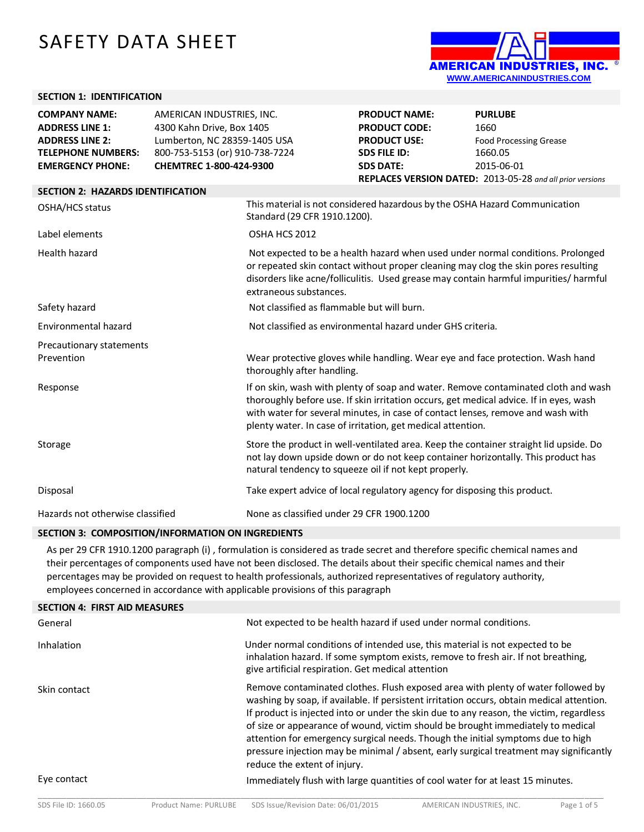# SAFETY DATA SHEET



#### **SECTION 1: IDENTIFICATION**

| <b>COMPANY NAME:</b>                     | AMERICAN INDUSTRIES, INC.      |                                                                                                                                                                                                                                                                                          | <b>PRODUCT NAME:</b>                                                                                                                           | <b>PURLUBE</b>                                                                                                                                                               |
|------------------------------------------|--------------------------------|------------------------------------------------------------------------------------------------------------------------------------------------------------------------------------------------------------------------------------------------------------------------------------------|------------------------------------------------------------------------------------------------------------------------------------------------|------------------------------------------------------------------------------------------------------------------------------------------------------------------------------|
| <b>ADDRESS LINE 1:</b>                   | 4300 Kahn Drive, Box 1405      |                                                                                                                                                                                                                                                                                          | <b>PRODUCT CODE:</b>                                                                                                                           | 1660                                                                                                                                                                         |
| <b>ADDRESS LINE 2:</b>                   | Lumberton, NC 28359-1405 USA   |                                                                                                                                                                                                                                                                                          | <b>PRODUCT USE:</b>                                                                                                                            | <b>Food Processing Grease</b>                                                                                                                                                |
| <b>TELEPHONE NUMBERS:</b>                | 800-753-5153 (or) 910-738-7224 |                                                                                                                                                                                                                                                                                          | <b>SDS FILE ID:</b>                                                                                                                            | 1660.05                                                                                                                                                                      |
| <b>EMERGENCY PHONE:</b>                  | CHEMTREC 1-800-424-9300        |                                                                                                                                                                                                                                                                                          | <b>SDS DATE:</b>                                                                                                                               | 2015-06-01                                                                                                                                                                   |
|                                          |                                |                                                                                                                                                                                                                                                                                          |                                                                                                                                                | REPLACES VERSION DATED: 2013-05-28 and all prior versions                                                                                                                    |
| <b>SECTION 2: HAZARDS IDENTIFICATION</b> |                                |                                                                                                                                                                                                                                                                                          |                                                                                                                                                |                                                                                                                                                                              |
| OSHA/HCS status                          |                                | Standard (29 CFR 1910.1200).                                                                                                                                                                                                                                                             | This material is not considered hazardous by the OSHA Hazard Communication                                                                     |                                                                                                                                                                              |
| Label elements                           |                                | OSHA HCS 2012                                                                                                                                                                                                                                                                            |                                                                                                                                                |                                                                                                                                                                              |
| Health hazard                            |                                | Not expected to be a health hazard when used under normal conditions. Prolonged<br>or repeated skin contact without proper cleaning may clog the skin pores resulting<br>disorders like acne/folliculitis. Used grease may contain harmful impurities/ harmful<br>extraneous substances. |                                                                                                                                                |                                                                                                                                                                              |
| Safety hazard                            |                                | Not classified as flammable but will burn.                                                                                                                                                                                                                                               |                                                                                                                                                |                                                                                                                                                                              |
| Environmental hazard                     |                                |                                                                                                                                                                                                                                                                                          | Not classified as environmental hazard under GHS criteria.                                                                                     |                                                                                                                                                                              |
| Precautionary statements                 |                                |                                                                                                                                                                                                                                                                                          |                                                                                                                                                |                                                                                                                                                                              |
| Prevention                               |                                | thoroughly after handling.                                                                                                                                                                                                                                                               |                                                                                                                                                | Wear protective gloves while handling. Wear eye and face protection. Wash hand                                                                                               |
| Response                                 |                                |                                                                                                                                                                                                                                                                                          | with water for several minutes, in case of contact lenses, remove and wash with<br>plenty water. In case of irritation, get medical attention. | If on skin, wash with plenty of soap and water. Remove contaminated cloth and wash<br>thoroughly before use. If skin irritation occurs, get medical advice. If in eyes, wash |
| Storage                                  |                                |                                                                                                                                                                                                                                                                                          | natural tendency to squeeze oil if not kept properly.                                                                                          | Store the product in well-ventilated area. Keep the container straight lid upside. Do<br>not lay down upside down or do not keep container horizontally. This product has    |
| Disposal                                 |                                |                                                                                                                                                                                                                                                                                          | Take expert advice of local regulatory agency for disposing this product.                                                                      |                                                                                                                                                                              |
| Hazards not otherwise classified         |                                | None as classified under 29 CFR 1900.1200                                                                                                                                                                                                                                                |                                                                                                                                                |                                                                                                                                                                              |

#### **SECTION 3: COMPOSITION/INFORMATION ON INGREDIENTS**

As per 29 CFR 1910.1200 paragraph (i) , formulation is considered as trade secret and therefore specific chemical names and their percentages of components used have not been disclosed. The details about their specific chemical names and their percentages may be provided on request to health professionals, authorized representatives of regulatory authority, employees concerned in accordance with applicable provisions of this paragraph

| <b>SECTION 4: FIRST AID MEASURES</b> |                                                                                                                                                                                                                                                                                                                                                                                                                                                                                                                                                                          |
|--------------------------------------|--------------------------------------------------------------------------------------------------------------------------------------------------------------------------------------------------------------------------------------------------------------------------------------------------------------------------------------------------------------------------------------------------------------------------------------------------------------------------------------------------------------------------------------------------------------------------|
| General                              | Not expected to be health hazard if used under normal conditions.                                                                                                                                                                                                                                                                                                                                                                                                                                                                                                        |
| Inhalation                           | Under normal conditions of intended use, this material is not expected to be<br>inhalation hazard. If some symptom exists, remove to fresh air. If not breathing,<br>give artificial respiration. Get medical attention                                                                                                                                                                                                                                                                                                                                                  |
| Skin contact                         | Remove contaminated clothes. Flush exposed area with plenty of water followed by<br>washing by soap, if available. If persistent irritation occurs, obtain medical attention.<br>If product is injected into or under the skin due to any reason, the victim, regardless<br>of size or appearance of wound, victim should be brought immediately to medical<br>attention for emergency surgical needs. Though the initial symptoms due to high<br>pressure injection may be minimal / absent, early surgical treatment may significantly<br>reduce the extent of injury. |
| Eye contact                          | Immediately flush with large quantities of cool water for at least 15 minutes.                                                                                                                                                                                                                                                                                                                                                                                                                                                                                           |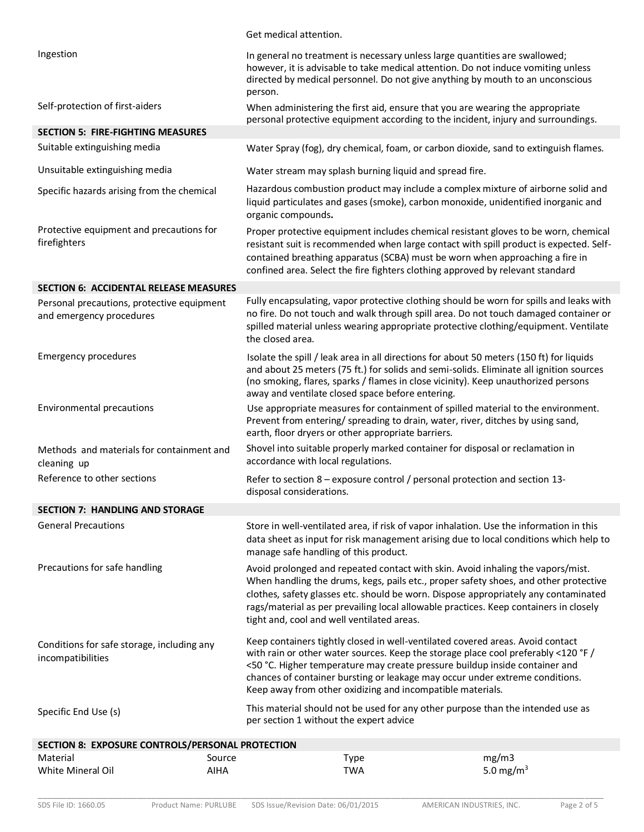|                                                                        |             | Get medical attention.                                                                                                                                                                                                                                                                                                                                                                            |                                                                                                                                                                                                                                                                         |
|------------------------------------------------------------------------|-------------|---------------------------------------------------------------------------------------------------------------------------------------------------------------------------------------------------------------------------------------------------------------------------------------------------------------------------------------------------------------------------------------------------|-------------------------------------------------------------------------------------------------------------------------------------------------------------------------------------------------------------------------------------------------------------------------|
| Ingestion                                                              | person.     | In general no treatment is necessary unless large quantities are swallowed;<br>however, it is advisable to take medical attention. Do not induce vomiting unless<br>directed by medical personnel. Do not give anything by mouth to an unconscious                                                                                                                                                |                                                                                                                                                                                                                                                                         |
| Self-protection of first-aiders                                        |             | When administering the first aid, ensure that you are wearing the appropriate<br>personal protective equipment according to the incident, injury and surroundings.                                                                                                                                                                                                                                |                                                                                                                                                                                                                                                                         |
| <b>SECTION 5: FIRE-FIGHTING MEASURES</b>                               |             |                                                                                                                                                                                                                                                                                                                                                                                                   |                                                                                                                                                                                                                                                                         |
| Suitable extinguishing media                                           |             |                                                                                                                                                                                                                                                                                                                                                                                                   | Water Spray (fog), dry chemical, foam, or carbon dioxide, sand to extinguish flames.                                                                                                                                                                                    |
| Unsuitable extinguishing media                                         |             | Water stream may splash burning liquid and spread fire.                                                                                                                                                                                                                                                                                                                                           |                                                                                                                                                                                                                                                                         |
| Specific hazards arising from the chemical                             |             | organic compounds.                                                                                                                                                                                                                                                                                                                                                                                | Hazardous combustion product may include a complex mixture of airborne solid and<br>liquid particulates and gases (smoke), carbon monoxide, unidentified inorganic and                                                                                                  |
| Protective equipment and precautions for<br>firefighters               |             | contained breathing apparatus (SCBA) must be worn when approaching a fire in<br>confined area. Select the fire fighters clothing approved by relevant standard                                                                                                                                                                                                                                    | Proper protective equipment includes chemical resistant gloves to be worn, chemical<br>resistant suit is recommended when large contact with spill product is expected. Self-                                                                                           |
| <b>SECTION 6: ACCIDENTAL RELEASE MEASURES</b>                          |             |                                                                                                                                                                                                                                                                                                                                                                                                   |                                                                                                                                                                                                                                                                         |
| Personal precautions, protective equipment<br>and emergency procedures |             | the closed area.                                                                                                                                                                                                                                                                                                                                                                                  | Fully encapsulating, vapor protective clothing should be worn for spills and leaks with<br>no fire. Do not touch and walk through spill area. Do not touch damaged container or<br>spilled material unless wearing appropriate protective clothing/equipment. Ventilate |
| <b>Emergency procedures</b>                                            |             | Isolate the spill / leak area in all directions for about 50 meters (150 ft) for liquids<br>(no smoking, flares, sparks / flames in close vicinity). Keep unauthorized persons<br>away and ventilate closed space before entering.                                                                                                                                                                | and about 25 meters (75 ft.) for solids and semi-solids. Eliminate all ignition sources                                                                                                                                                                                 |
| <b>Environmental precautions</b>                                       |             | Use appropriate measures for containment of spilled material to the environment.<br>Prevent from entering/ spreading to drain, water, river, ditches by using sand,<br>earth, floor dryers or other appropriate barriers.                                                                                                                                                                         |                                                                                                                                                                                                                                                                         |
| Methods and materials for containment and<br>cleaning up               |             | Shovel into suitable properly marked container for disposal or reclamation in<br>accordance with local regulations.                                                                                                                                                                                                                                                                               |                                                                                                                                                                                                                                                                         |
| Reference to other sections                                            |             | Refer to section 8 – exposure control / personal protection and section 13-<br>disposal considerations.                                                                                                                                                                                                                                                                                           |                                                                                                                                                                                                                                                                         |
| <b>SECTION 7: HANDLING AND STORAGE</b>                                 |             |                                                                                                                                                                                                                                                                                                                                                                                                   |                                                                                                                                                                                                                                                                         |
| <b>General Precautions</b>                                             |             | Store in well-ventilated area, if risk of vapor inhalation. Use the information in this<br>manage safe handling of this product.                                                                                                                                                                                                                                                                  | data sheet as input for risk management arising due to local conditions which help to                                                                                                                                                                                   |
| Precautions for safe handling                                          |             | Avoid prolonged and repeated contact with skin. Avoid inhaling the vapors/mist.<br>rags/material as per prevailing local allowable practices. Keep containers in closely<br>tight and, cool and well ventilated areas.                                                                                                                                                                            | When handling the drums, kegs, pails etc., proper safety shoes, and other protective<br>clothes, safety glasses etc. should be worn. Dispose appropriately any contaminated                                                                                             |
| Conditions for safe storage, including any<br>incompatibilities        |             | Keep containers tightly closed in well-ventilated covered areas. Avoid contact<br>with rain or other water sources. Keep the storage place cool preferably <120 °F /<br><50 °C. Higher temperature may create pressure buildup inside container and<br>chances of container bursting or leakage may occur under extreme conditions.<br>Keep away from other oxidizing and incompatible materials. |                                                                                                                                                                                                                                                                         |
| Specific End Use (s)                                                   |             | This material should not be used for any other purpose than the intended use as<br>per section 1 without the expert advice                                                                                                                                                                                                                                                                        |                                                                                                                                                                                                                                                                         |
| SECTION 8: EXPOSURE CONTROLS/PERSONAL PROTECTION                       |             |                                                                                                                                                                                                                                                                                                                                                                                                   |                                                                                                                                                                                                                                                                         |
| Material                                                               | Source      | <b>Type</b>                                                                                                                                                                                                                                                                                                                                                                                       | mg/m3                                                                                                                                                                                                                                                                   |
| White Mineral Oil                                                      | <b>AIHA</b> | <b>TWA</b>                                                                                                                                                                                                                                                                                                                                                                                        | 5.0 mg/m <sup>3</sup>                                                                                                                                                                                                                                                   |

\_\_\_\_\_\_\_\_\_\_\_\_\_\_\_\_\_\_\_\_\_\_\_\_\_\_\_\_\_\_\_\_\_\_\_\_\_\_\_\_\_\_\_\_\_\_\_\_\_\_\_\_\_\_\_\_\_\_\_\_\_\_\_\_\_\_\_\_\_\_\_\_\_\_\_\_\_\_\_\_\_\_\_\_\_\_\_\_\_\_\_\_\_\_\_\_\_\_\_\_\_\_\_\_\_\_\_\_\_\_\_\_\_\_\_\_\_\_\_\_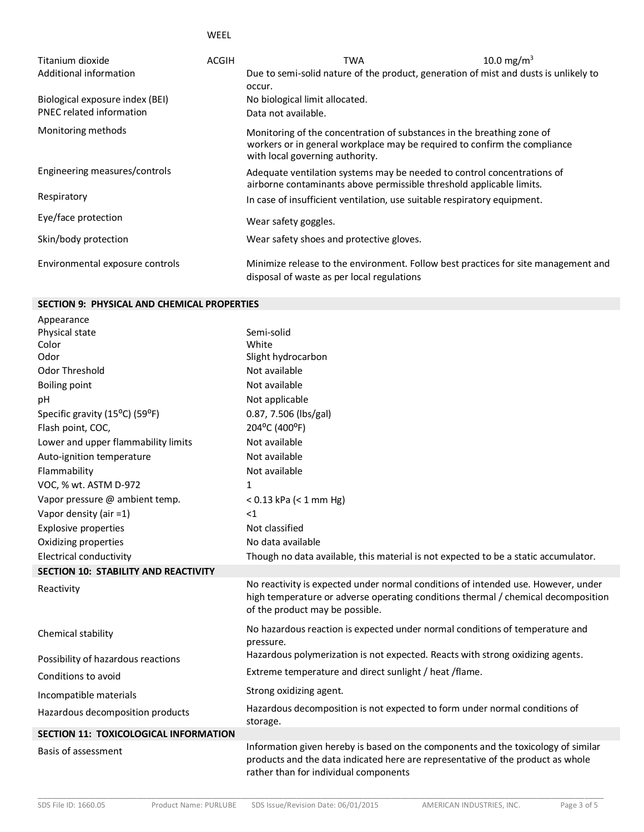WEEL

| Titanium dioxide                | <b>ACGIH</b> | TWA                                                                                                                                                                                    | 10.0 mg/m <sup>3</sup> |
|---------------------------------|--------------|----------------------------------------------------------------------------------------------------------------------------------------------------------------------------------------|------------------------|
| Additional information          |              | Due to semi-solid nature of the product, generation of mist and dusts is unlikely to                                                                                                   |                        |
|                                 |              | occur.                                                                                                                                                                                 |                        |
| Biological exposure index (BEI) |              | No biological limit allocated.                                                                                                                                                         |                        |
| <b>PNEC related information</b> |              | Data not available.                                                                                                                                                                    |                        |
| Monitoring methods              |              | Monitoring of the concentration of substances in the breathing zone of<br>workers or in general workplace may be required to confirm the compliance<br>with local governing authority. |                        |
| Engineering measures/controls   |              | Adequate ventilation systems may be needed to control concentrations of<br>airborne contaminants above permissible threshold applicable limits.                                        |                        |
| Respiratory                     |              | In case of insufficient ventilation, use suitable respiratory equipment.                                                                                                               |                        |
| Eye/face protection             |              | Wear safety goggles.                                                                                                                                                                   |                        |
| Skin/body protection            |              | Wear safety shoes and protective gloves.                                                                                                                                               |                        |
| Environmental exposure controls |              | Minimize release to the environment. Follow best practices for site management and<br>disposal of waste as per local regulations                                                       |                        |

### **SECTION 9: PHYSICAL AND CHEMICAL PROPERTIES**

| Appearance                                   |                                                                                                                                                                                                               |
|----------------------------------------------|---------------------------------------------------------------------------------------------------------------------------------------------------------------------------------------------------------------|
| Physical state                               | Semi-solid                                                                                                                                                                                                    |
| Color                                        | White                                                                                                                                                                                                         |
| Odor                                         | Slight hydrocarbon                                                                                                                                                                                            |
| <b>Odor Threshold</b>                        | Not available                                                                                                                                                                                                 |
| <b>Boiling point</b>                         | Not available                                                                                                                                                                                                 |
| pH                                           | Not applicable                                                                                                                                                                                                |
| Specific gravity (15°C) (59°F)               | 0.87, 7.506 (lbs/gal)                                                                                                                                                                                         |
| Flash point, COC,                            | 204°C (400°F)                                                                                                                                                                                                 |
| Lower and upper flammability limits          | Not available                                                                                                                                                                                                 |
| Auto-ignition temperature                    | Not available                                                                                                                                                                                                 |
| Flammability                                 | Not available                                                                                                                                                                                                 |
| VOC, % wt. ASTM D-972                        | 1                                                                                                                                                                                                             |
| Vapor pressure @ ambient temp.               | $< 0.13$ kPa ( $< 1$ mm Hg)                                                                                                                                                                                   |
| Vapor density (air =1)                       | <1                                                                                                                                                                                                            |
| <b>Explosive properties</b>                  | Not classified                                                                                                                                                                                                |
| Oxidizing properties                         | No data available                                                                                                                                                                                             |
| <b>Electrical conductivity</b>               | Though no data available, this material is not expected to be a static accumulator.                                                                                                                           |
| <b>SECTION 10: STABILITY AND REACTIVITY</b>  |                                                                                                                                                                                                               |
| Reactivity                                   | No reactivity is expected under normal conditions of intended use. However, under<br>high temperature or adverse operating conditions thermal / chemical decomposition<br>of the product may be possible.     |
| Chemical stability                           | No hazardous reaction is expected under normal conditions of temperature and<br>pressure.                                                                                                                     |
| Possibility of hazardous reactions           | Hazardous polymerization is not expected. Reacts with strong oxidizing agents.                                                                                                                                |
| Conditions to avoid                          | Extreme temperature and direct sunlight / heat / flame.                                                                                                                                                       |
| Incompatible materials                       | Strong oxidizing agent.                                                                                                                                                                                       |
| Hazardous decomposition products             | Hazardous decomposition is not expected to form under normal conditions of<br>storage.                                                                                                                        |
| <b>SECTION 11: TOXICOLOGICAL INFORMATION</b> |                                                                                                                                                                                                               |
| Basis of assessment                          | Information given hereby is based on the components and the toxicology of similar<br>products and the data indicated here are representative of the product as whole<br>rather than for individual components |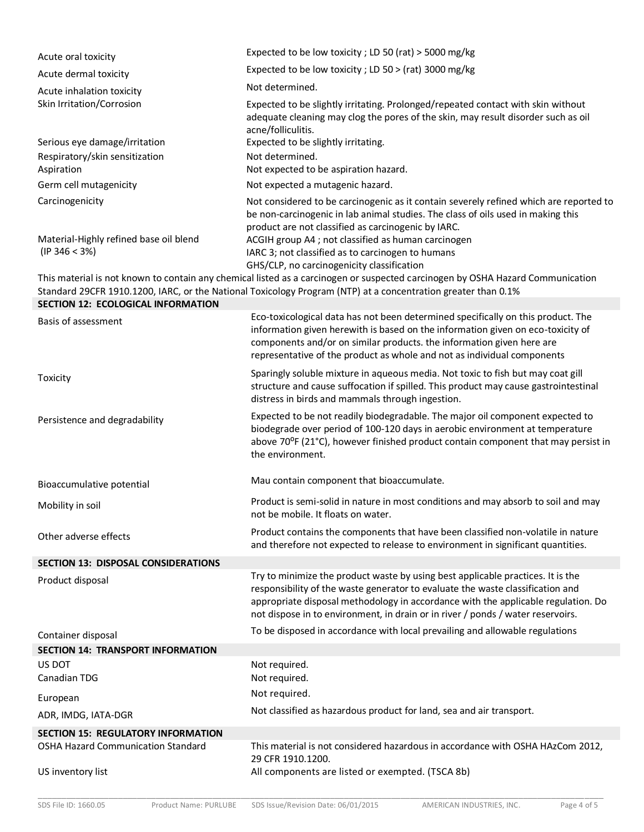| Acute oral toxicity                                                                    | Expected to be low toxicity; LD 50 (rat) > 5000 mg/kg                                                                                                                                                                                                                                                                                         |
|----------------------------------------------------------------------------------------|-----------------------------------------------------------------------------------------------------------------------------------------------------------------------------------------------------------------------------------------------------------------------------------------------------------------------------------------------|
| Acute dermal toxicity                                                                  | Expected to be low toxicity; LD 50 > (rat) 3000 mg/kg                                                                                                                                                                                                                                                                                         |
| Acute inhalation toxicity                                                              | Not determined.                                                                                                                                                                                                                                                                                                                               |
| Skin Irritation/Corrosion                                                              | Expected to be slightly irritating. Prolonged/repeated contact with skin without<br>adequate cleaning may clog the pores of the skin, may result disorder such as oil<br>acne/folliculitis.                                                                                                                                                   |
| Serious eye damage/irritation                                                          | Expected to be slightly irritating.                                                                                                                                                                                                                                                                                                           |
| Respiratory/skin sensitization<br>Aspiration                                           | Not determined.<br>Not expected to be aspiration hazard.                                                                                                                                                                                                                                                                                      |
| Germ cell mutagenicity                                                                 | Not expected a mutagenic hazard.                                                                                                                                                                                                                                                                                                              |
| Carcinogenicity<br>Material-Highly refined base oil blend<br>(IP 346 < 3%)             | Not considered to be carcinogenic as it contain severely refined which are reported to<br>be non-carcinogenic in lab animal studies. The class of oils used in making this<br>product are not classified as carcinogenic by IARC.<br>ACGIH group A4 ; not classified as human carcinogen<br>IARC 3; not classified as to carcinogen to humans |
|                                                                                        | GHS/CLP, no carcinogenicity classification                                                                                                                                                                                                                                                                                                    |
| <b>SECTION 12: ECOLOGICAL INFORMATION</b>                                              | This material is not known to contain any chemical listed as a carcinogen or suspected carcinogen by OSHA Hazard Communication<br>Standard 29CFR 1910.1200, IARC, or the National Toxicology Program (NTP) at a concentration greater than 0.1%                                                                                               |
| Basis of assessment                                                                    | Eco-toxicological data has not been determined specifically on this product. The<br>information given herewith is based on the information given on eco-toxicity of<br>components and/or on similar products. the information given here are<br>representative of the product as whole and not as individual components                       |
| Toxicity                                                                               | Sparingly soluble mixture in aqueous media. Not toxic to fish but may coat gill<br>structure and cause suffocation if spilled. This product may cause gastrointestinal<br>distress in birds and mammals through ingestion.                                                                                                                    |
| Persistence and degradability                                                          | Expected to be not readily biodegradable. The major oil component expected to<br>biodegrade over period of 100-120 days in aerobic environment at temperature<br>above 70°F (21°C), however finished product contain component that may persist in<br>the environment.                                                                        |
| Bioaccumulative potential                                                              | Mau contain component that bioaccumulate.                                                                                                                                                                                                                                                                                                     |
| Mobility in soil                                                                       | Product is semi-solid in nature in most conditions and may absorb to soil and may<br>not be mobile. It floats on water.                                                                                                                                                                                                                       |
| Other adverse effects                                                                  | Product contains the components that have been classified non-volatile in nature<br>and therefore not expected to release to environment in significant quantities.                                                                                                                                                                           |
| <b>SECTION 13: DISPOSAL CONSIDERATIONS</b>                                             |                                                                                                                                                                                                                                                                                                                                               |
| Product disposal                                                                       | Try to minimize the product waste by using best applicable practices. It is the<br>responsibility of the waste generator to evaluate the waste classification and<br>appropriate disposal methodology in accordance with the applicable regulation. Do<br>not dispose in to environment, in drain or in river / ponds / water reservoirs.     |
| Container disposal                                                                     | To be disposed in accordance with local prevailing and allowable regulations                                                                                                                                                                                                                                                                  |
| <b>SECTION 14: TRANSPORT INFORMATION</b>                                               |                                                                                                                                                                                                                                                                                                                                               |
| US DOT<br>Canadian TDG                                                                 | Not required.<br>Not required.                                                                                                                                                                                                                                                                                                                |
|                                                                                        | Not required.                                                                                                                                                                                                                                                                                                                                 |
| European                                                                               | Not classified as hazardous product for land, sea and air transport.                                                                                                                                                                                                                                                                          |
| ADR, IMDG, IATA-DGR                                                                    |                                                                                                                                                                                                                                                                                                                                               |
| <b>SECTION 15: REGULATORY INFORMATION</b><br><b>OSHA Hazard Communication Standard</b> | This material is not considered hazardous in accordance with OSHA HAzCom 2012,                                                                                                                                                                                                                                                                |
| US inventory list                                                                      | 29 CFR 1910.1200.<br>All components are listed or exempted. (TSCA 8b)                                                                                                                                                                                                                                                                         |
|                                                                                        |                                                                                                                                                                                                                                                                                                                                               |